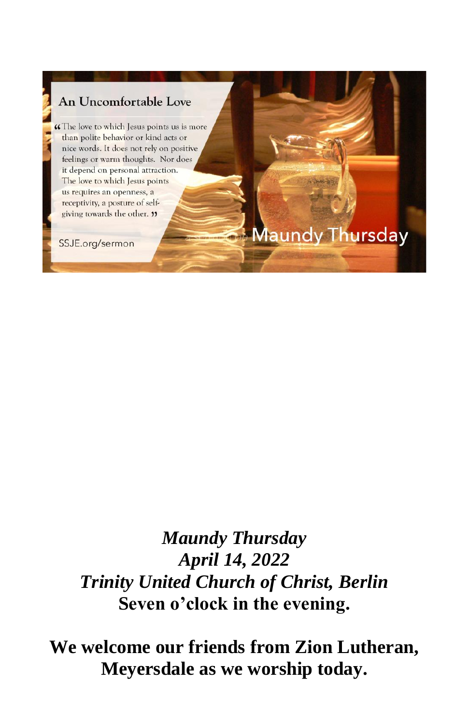

# *Maundy Thursday April 14, 2022 Trinity United Church of Christ, Berlin* **Seven o'clock in the evening.**

**We welcome our friends from Zion Lutheran, Meyersdale as we worship today.**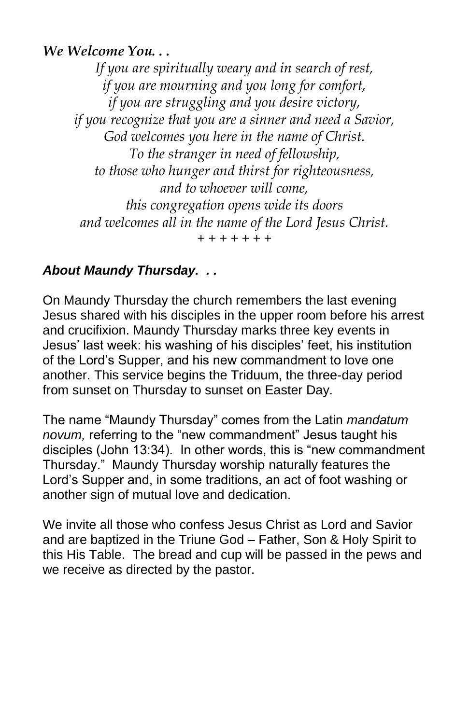## *We Welcome You. . .*

*If you are spiritually weary and in search of rest, if you are mourning and you long for comfort, if you are struggling and you desire victory, if you recognize that you are a sinner and need a Savior, God welcomes you here in the name of Christ. To the stranger in need of fellowship, to those who hunger and thirst for righteousness, and to whoever will come, this congregation opens wide its doors and welcomes all in the name of the Lord Jesus Christ. + + + + + + +*

## *About Maundy Thursday. . .*

On Maundy Thursday the church remembers the last evening Jesus shared with his disciples in the upper room before his arrest and crucifixion. Maundy Thursday marks three key events in Jesus' last week: his washing of his disciples' feet, his institution of the Lord's Supper, and his new commandment to love one another. This service begins the Triduum, the three-day period from sunset on Thursday to sunset on Easter Day.

The name "Maundy Thursday" comes from the Latin *mandatum novum,* referring to the "new commandment" Jesus taught his disciples (John 13:34). In other words, this is "new commandment Thursday." Maundy Thursday worship naturally features the Lord's Supper and, in some traditions, an act of foot washing or another sign of mutual love and dedication.

We invite all those who confess Jesus Christ as Lord and Savior and are baptized in the Triune God – Father, Son & Holy Spirit to this His Table. The bread and cup will be passed in the pews and we receive as directed by the pastor.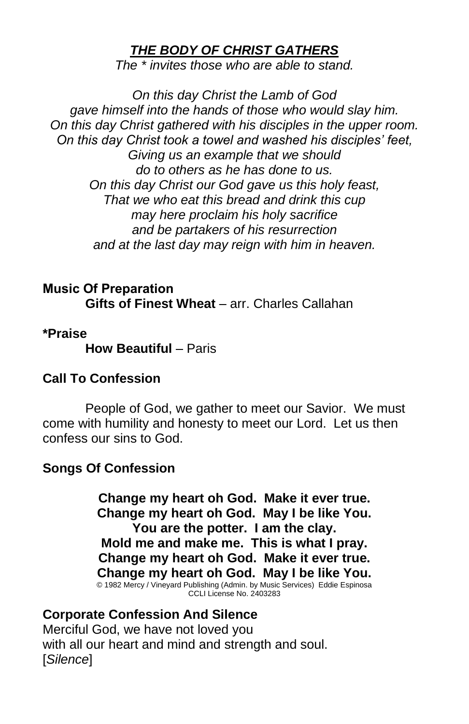## *THE BODY OF CHRIST GATHERS*

*The \* invites those who are able to stand.*

*On this day Christ the Lamb of God gave himself into the hands of those who would slay him. On this day Christ gathered with his disciples in the upper room. On this day Christ took a towel and washed his disciples' feet, Giving us an example that we should do to others as he has done to us. On this day Christ our God gave us this holy feast, That we who eat this bread and drink this cup may here proclaim his holy sacrifice and be partakers of his resurrection and at the last day may reign with him in heaven.*

**Music Of Preparation Gifts of Finest Wheat** – arr. Charles Callahan

**\*Praise**

**How Beautiful** – Paris

#### **Call To Confession**

People of God, we gather to meet our Savior. We must come with humility and honesty to meet our Lord. Let us then confess our sins to God.

#### **Songs Of Confession**

**Change my heart oh God. Make it ever true. Change my heart oh God. May I be like You. You are the potter. I am the clay. Mold me and make me. This is what I pray. Change my heart oh God. Make it ever true. Change my heart oh God. May I be like You.**<br>© 1982 Mercy / Vineyard Publishing (Admin. by Music Services) Eddie Espinosa<br>CCLI License No. 2403283

## **Corporate Confession And Silence**

Merciful God, we have not loved you with all our heart and mind and strength and soul. [*Silence*]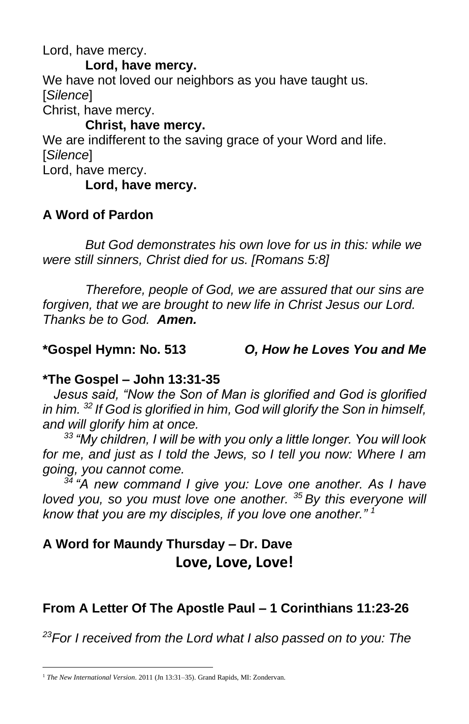Lord, have mercy.

**Lord, have mercy.** We have not loved our neighbors as you have taught us. [*Silence*] Christ, have mercy.

#### **Christ, have mercy.**

We are indifferent to the saving grace of your Word and life. [*Silence*]

Lord, have mercy.

#### **Lord, have mercy.**

## **A Word of Pardon**

*But God demonstrates his own love for us in this: while we were still sinners, Christ died for us. [Romans 5:8]*

*Therefore, people of God, we are assured that our sins are forgiven, that we are brought to new life in Christ Jesus our Lord. Thanks be to God. Amen.*

## **\*Gospel Hymn: No. 513** *O, How he Loves You and Me*

## **\*The Gospel – John 13:31-35**

 *Jesus said, "Now the Son of Man is glorified and God is glorified in him. <sup>32</sup> If God is glorified in him, God will glorify the Son in himself, and will glorify him at once.* 

*<sup>33</sup> "My children, I will be with you only a little longer. You will look for me, and just as I told the Jews, so I tell you now: Where I am going, you cannot come.* 

*<sup>34</sup> "A new command I give you: Love one another. As I have loved you, so you must love one another. <sup>35</sup> By this everyone will know that you are my disciples, if you love one another." <sup>1</sup>*

# **A Word for Maundy Thursday – Dr. Dave Love, Love, Love!**

# **From A Letter Of The Apostle Paul – 1 Corinthians 11:23-26**

*<sup>23</sup>For I received from the Lord what I also passed on to you: The* 

<sup>&</sup>lt;sup>1</sup> The New International Version. 2011 (Jn 13:31-35). Grand Rapids, MI: Zondervan.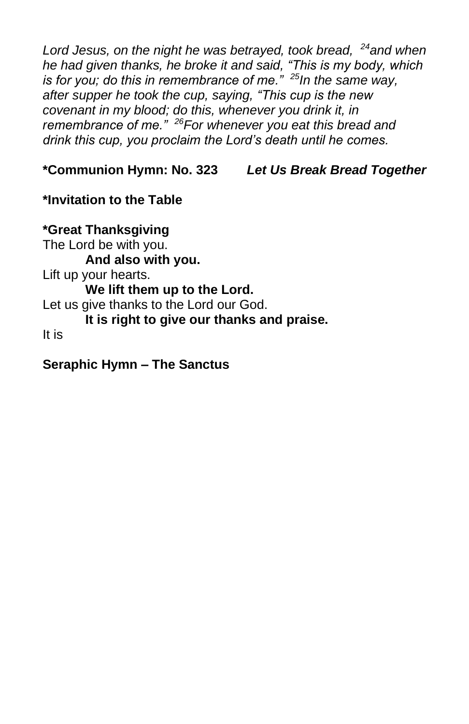*Lord Jesus, on the night he was betrayed, took bread, <sup>24</sup>and when he had given thanks, he broke it and said, "This is my body, which is for you; do this in remembrance of me." <sup>25</sup>In the same way, after supper he took the cup, saying, "This cup is the new covenant in my blood; do this, whenever you drink it, in remembrance of me." <sup>26</sup>For whenever you eat this bread and drink this cup, you proclaim the Lord's death until he comes.*

**\*Communion Hymn: No. 323** *Let Us Break Bread Together*

**\*Invitation to the Table**

**\*Great Thanksgiving** The Lord be with you. **And also with you.** Lift up your hearts. **We lift them up to the Lord.** Let us give thanks to the Lord our God. **It is right to give our thanks and praise.** It is

**Seraphic Hymn – The Sanctus**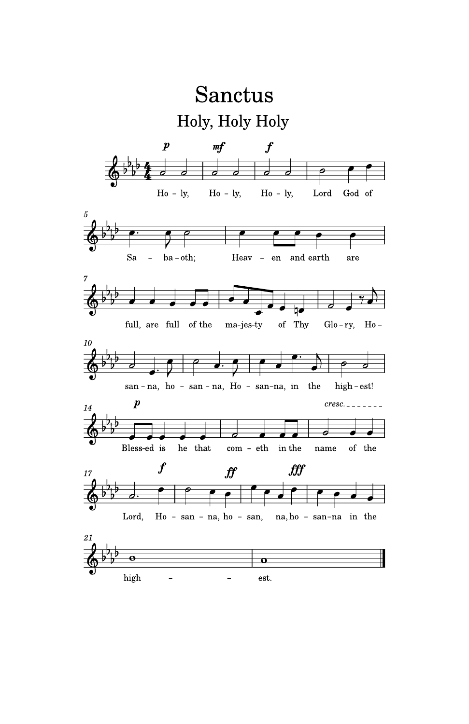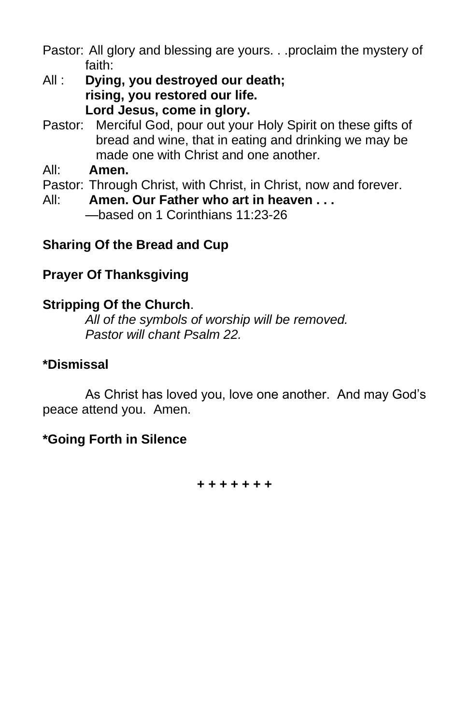Pastor: All glory and blessing are yours. . .proclaim the mystery of faith:

- All : **Dying, you destroyed our death; rising, you restored our life. Lord Jesus, come in glory.**
- Pastor: Merciful God, pour out your Holy Spirit on these gifts of bread and wine, that in eating and drinking we may be made one with Christ and one another.
- All: **Amen.**
- Pastor: Through Christ, with Christ, in Christ, now and forever.
- All: **Amen. Our Father who art in heaven . . .** —based on 1 Corinthians 11:23-26

## **Sharing Of the Bread and Cup**

## **Prayer Of Thanksgiving**

## **Stripping Of the Church**.

*All of the symbols of worship will be removed. Pastor will chant Psalm 22.*

## **\*Dismissal**

As Christ has loved you, love one another. And may God's peace attend you. Amen.

## **\*Going Forth in Silence**

**+ + + + + + +**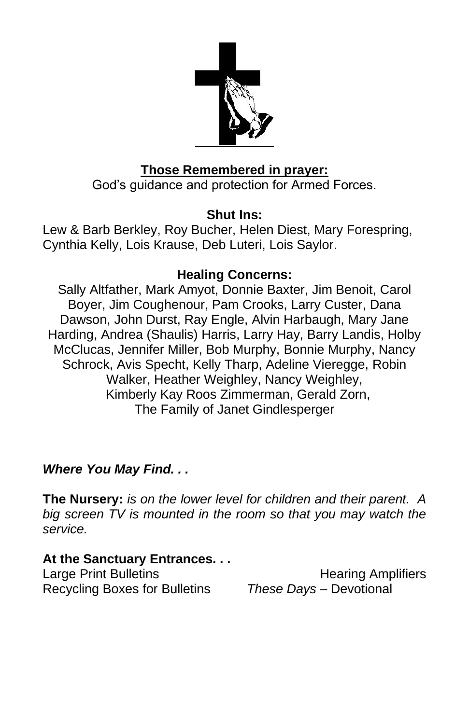

## **Those Remembered in prayer:**

God's guidance and protection for Armed Forces.

## **Shut Ins:**

Lew & Barb Berkley, Roy Bucher, Helen Diest, Mary Forespring, Cynthia Kelly, Lois Krause, Deb Luteri, Lois Saylor.

## **Healing Concerns:**

Sally Altfather, Mark Amyot, Donnie Baxter, Jim Benoit, Carol Boyer, Jim Coughenour, Pam Crooks, Larry Custer, Dana Dawson, John Durst, Ray Engle, Alvin Harbaugh, Mary Jane Harding, Andrea (Shaulis) Harris, Larry Hay, Barry Landis, Holby McClucas, Jennifer Miller, Bob Murphy, Bonnie Murphy, Nancy Schrock, Avis Specht, Kelly Tharp, Adeline Vieregge, Robin Walker, Heather Weighley, Nancy Weighley, Kimberly Kay Roos Zimmerman, Gerald Zorn, The Family of Janet Gindlesperger

## *Where You May Find. . .*

**The Nursery:** *is on the lower level for children and their parent. A big screen TV is mounted in the room so that you may watch the service.*

## **At the Sanctuary Entrances. . .**

Recycling Boxes for Bulletins *These Days –* Devotional

Large Print Bulletins **Example 20** Hearing Amplifiers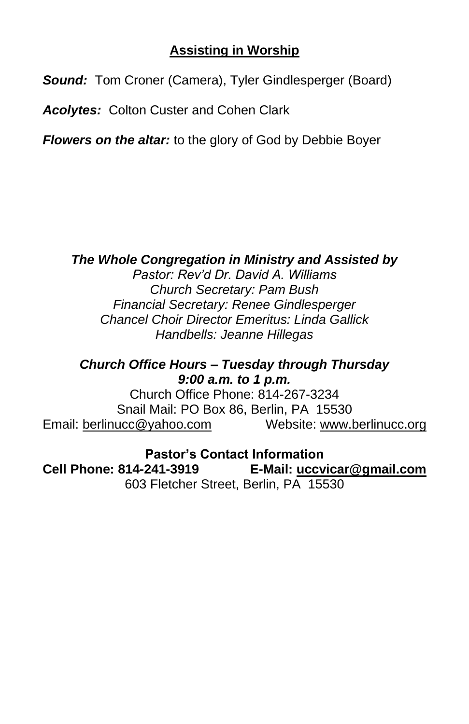## **Assisting in Worship**

*Sound:* Tom Croner (Camera), Tyler Gindlesperger (Board)

*Acolytes:* Colton Custer and Cohen Clark

*Flowers on the altar:* to the glory of God by Debbie Boyer

## *The Whole Congregation in Ministry and Assisted by*

*Pastor: Rev'd Dr. David A. Williams Church Secretary: Pam Bush Financial Secretary: Renee Gindlesperger Chancel Choir Director Emeritus: Linda Gallick Handbells: Jeanne Hillegas*

*Church Office Hours – Tuesday through Thursday 9:00 a.m. to 1 p.m.*

Church Office Phone: 814-267-3234 Snail Mail: PO Box 86, Berlin, PA 15530 Email: [berlinucc@yahoo.com](mailto:berlinucc@yahoo.com) Website: [www.berlinucc.org](http://www.berlinucc.org/)

**Pastor's Contact Information Cell Phone: 814-241-3919 E-Mail: [uccvicar@gmail.com](mailto:uccvicar@gmail.com)** 603 Fletcher Street, Berlin, PA 15530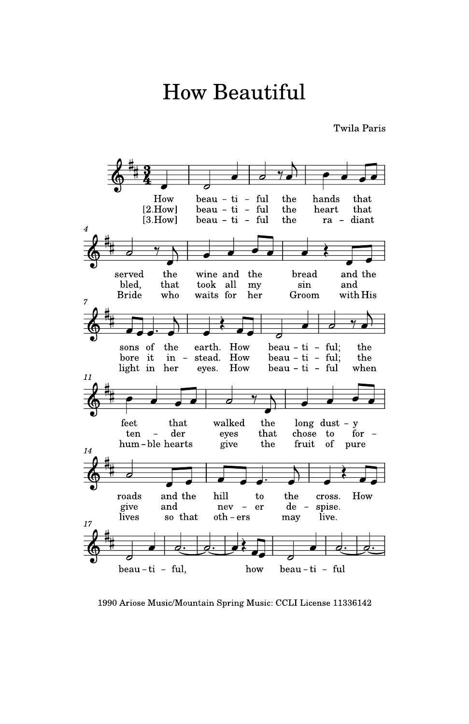# **How Beautiful**

Twila Paris



1990 Ariose Music/Mountain Spring Music: CCLI License 11336142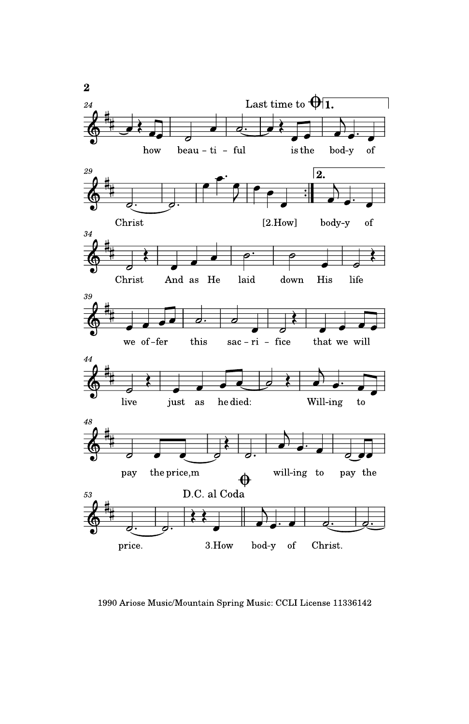

1990 Ariose Music/Mountain Spring Music: CCLI License 11336142